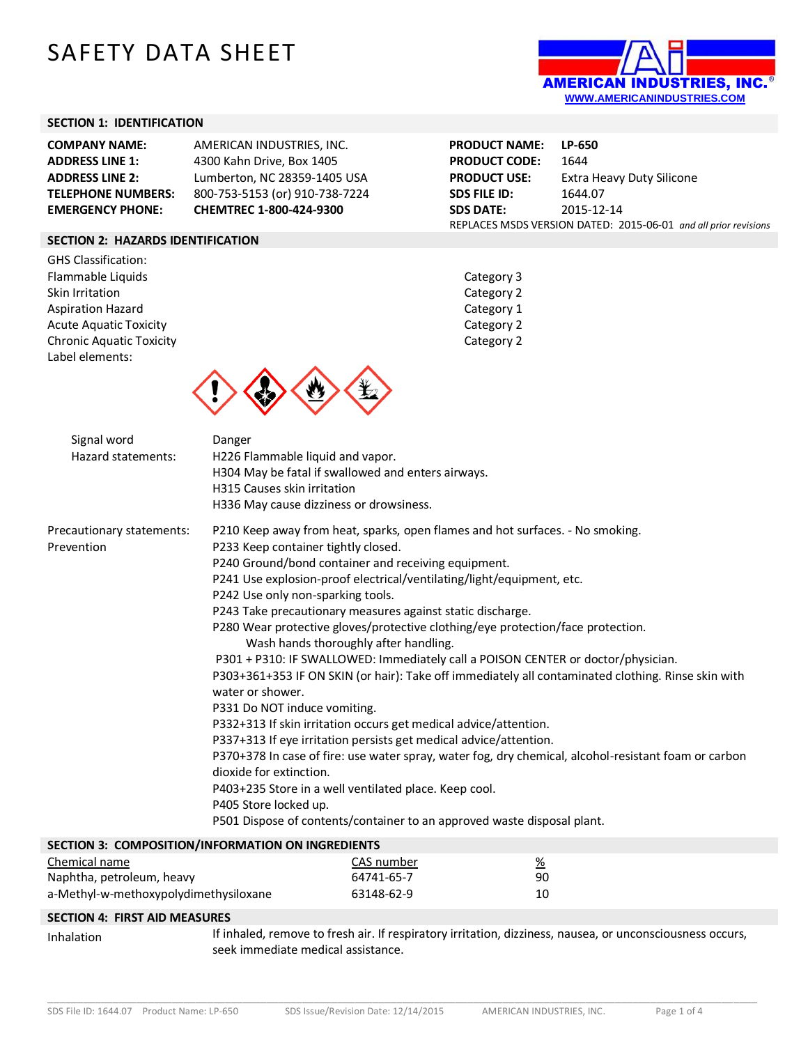# SAFETY DATA SHEET



#### **SECTION 1: IDENTIFICATION**

| <b>COMPANY NAME:</b>      | AMERICAN INDUSTRIES, INC.      |
|---------------------------|--------------------------------|
| <b>ADDRESS LINE 1:</b>    | 4300 Kahn Drive, Box 1405      |
| <b>ADDRESS LINE 2:</b>    | Lumberton, NC 28359-1405 USA   |
| <b>TELEPHONE NUMBERS:</b> | 800-753-5153 (or) 910-738-7224 |
| <b>EMERGENCY PHONE:</b>   | CHEMTREC 1-800-424-9300        |

**PRODUCT NAME: LP-650 PRODUCT CODE:** 1644 **PRODUCT USE:** Extra Heavy Duty Silicone **SDS FILE ID:** 1644.07 **SDS DATE:** 2015-12-14 REPLACES MSDS VERSION DATED: 2015-06-01 *and all prior revisions*

## **SECTION 2: HAZARDS IDENTIFICATION**

GHS Classification: Flammable Liquids **Category 3** Skin Irritation Category 2 Aspiration Hazard **Category 1** Acute Aquatic Toxicity **Category 2** Category 2 Chronic Aquatic Toxicity Chronic Aquatic Toxicity Label elements:





| Signal word<br>Hazard statements: | Danger<br>H226 Flammable liquid and vapor.<br>H304 May be fatal if swallowed and enters airways.<br>H315 Causes skin irritation<br>H336 May cause dizziness or drowsiness. |
|-----------------------------------|----------------------------------------------------------------------------------------------------------------------------------------------------------------------------|
| Precautionary statements:         | P210 Keep away from heat, sparks, open flames and hot surfaces. - No smoking.                                                                                              |
| Prevention                        | P233 Keep container tightly closed.                                                                                                                                        |
|                                   | P240 Ground/bond container and receiving equipment.                                                                                                                        |
|                                   | P241 Use explosion-proof electrical/ventilating/light/equipment, etc.                                                                                                      |
|                                   | P242 Use only non-sparking tools.                                                                                                                                          |
|                                   | P243 Take precautionary measures against static discharge.                                                                                                                 |
|                                   | P280 Wear protective gloves/protective clothing/eye protection/face protection.<br>Wash hands thoroughly after handling.                                                   |
|                                   | P301 + P310: IF SWALLOWED: Immediately call a POISON CENTER or doctor/physician.                                                                                           |
|                                   | P303+361+353 IF ON SKIN (or hair): Take off immediately all contaminated clothing. Rinse skin with<br>water or shower.                                                     |
|                                   | P331 Do NOT induce vomiting.                                                                                                                                               |
|                                   | P332+313 If skin irritation occurs get medical advice/attention.                                                                                                           |
|                                   | P337+313 If eye irritation persists get medical advice/attention.                                                                                                          |
|                                   | P370+378 In case of fire: use water spray, water fog, dry chemical, alcohol-resistant foam or carbon<br>dioxide for extinction.                                            |
|                                   | P403+235 Store in a well ventilated place. Keep cool.                                                                                                                      |
|                                   | P405 Store locked up.                                                                                                                                                      |
|                                   | P501 Dispose of contents/container to an approved waste disposal plant.                                                                                                    |
|                                   | SECTION 3: COMPOSITION/INFORMATION ON INGREDIENTS                                                                                                                          |

| <b>SECTION S. CONFOSITION/INFORMATION ON INGREDIENTS</b> |            |          |
|----------------------------------------------------------|------------|----------|
| Chemical name                                            | CAS number | <u>%</u> |
| Naphtha, petroleum, heavy                                | 64741-65-7 | 90       |
| a-Methyl-w-methoxypolydimethysiloxane                    | 63148-62-9 | 10       |

#### **SECTION 4: FIRST AID MEASURES**

Inhalation If inhaled, remove to fresh air. If respiratory irritation, dizziness, nausea, or unconsciousness occurs, seek immediate medical assistance.

\_\_\_\_\_\_\_\_\_\_\_\_\_\_\_\_\_\_\_\_\_\_\_\_\_\_\_\_\_\_\_\_\_\_\_\_\_\_\_\_\_\_\_\_\_\_\_\_\_\_\_\_\_\_\_\_\_\_\_\_\_\_\_\_\_\_\_\_\_\_\_\_\_\_\_\_\_\_\_\_\_\_\_\_\_\_\_\_\_\_\_\_\_\_\_\_\_\_\_\_\_\_\_\_\_\_\_\_\_\_\_\_\_\_\_\_\_\_\_\_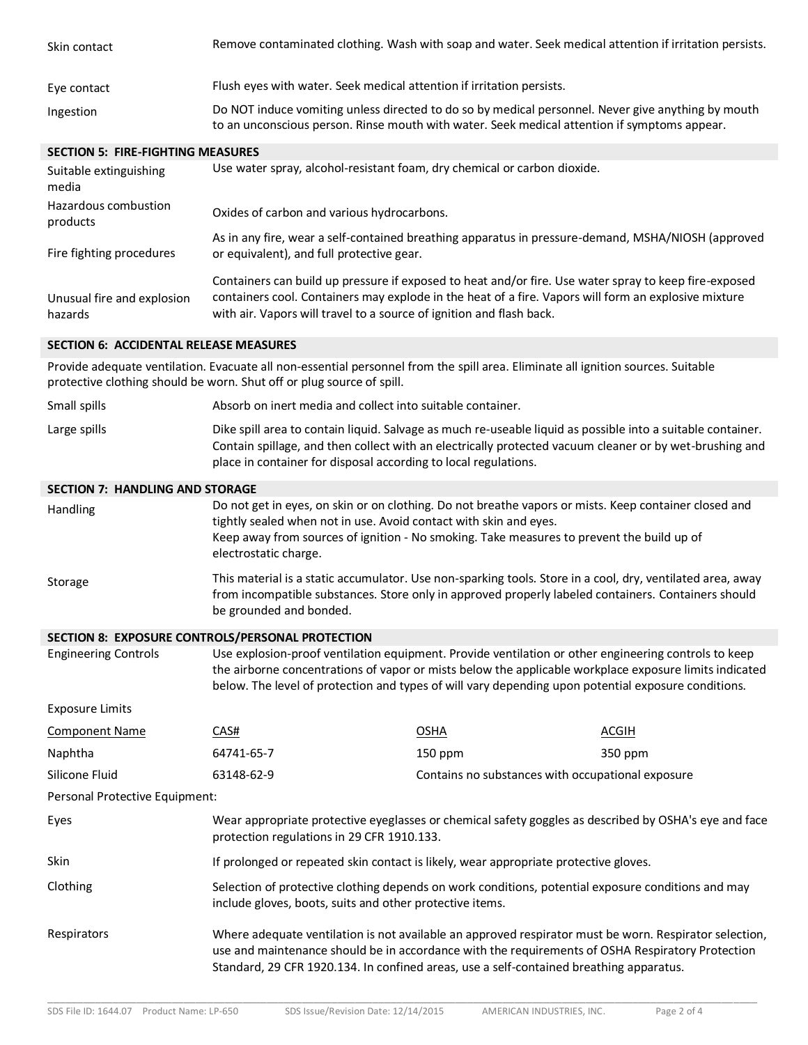| Skin contact                                  | Remove contaminated clothing. Wash with soap and water. Seek medical attention if irritation persists.                                                                                                                                                                                                                |                                                   |              |
|-----------------------------------------------|-----------------------------------------------------------------------------------------------------------------------------------------------------------------------------------------------------------------------------------------------------------------------------------------------------------------------|---------------------------------------------------|--------------|
| Eye contact                                   | Flush eyes with water. Seek medical attention if irritation persists.                                                                                                                                                                                                                                                 |                                                   |              |
| Ingestion                                     | Do NOT induce vomiting unless directed to do so by medical personnel. Never give anything by mouth<br>to an unconscious person. Rinse mouth with water. Seek medical attention if symptoms appear.                                                                                                                    |                                                   |              |
| <b>SECTION 5: FIRE-FIGHTING MEASURES</b>      |                                                                                                                                                                                                                                                                                                                       |                                                   |              |
| Suitable extinguishing<br>media               | Use water spray, alcohol-resistant foam, dry chemical or carbon dioxide.                                                                                                                                                                                                                                              |                                                   |              |
| Hazardous combustion<br>products              | Oxides of carbon and various hydrocarbons.                                                                                                                                                                                                                                                                            |                                                   |              |
| Fire fighting procedures                      | As in any fire, wear a self-contained breathing apparatus in pressure-demand, MSHA/NIOSH (approved<br>or equivalent), and full protective gear.                                                                                                                                                                       |                                                   |              |
| Unusual fire and explosion<br>hazards         | Containers can build up pressure if exposed to heat and/or fire. Use water spray to keep fire-exposed<br>containers cool. Containers may explode in the heat of a fire. Vapors will form an explosive mixture<br>with air. Vapors will travel to a source of ignition and flash back.                                 |                                                   |              |
| <b>SECTION 6: ACCIDENTAL RELEASE MEASURES</b> |                                                                                                                                                                                                                                                                                                                       |                                                   |              |
|                                               | Provide adequate ventilation. Evacuate all non-essential personnel from the spill area. Eliminate all ignition sources. Suitable<br>protective clothing should be worn. Shut off or plug source of spill.                                                                                                             |                                                   |              |
| Small spills                                  | Absorb on inert media and collect into suitable container.                                                                                                                                                                                                                                                            |                                                   |              |
| Large spills                                  | Dike spill area to contain liquid. Salvage as much re-useable liquid as possible into a suitable container.<br>Contain spillage, and then collect with an electrically protected vacuum cleaner or by wet-brushing and<br>place in container for disposal according to local regulations.                             |                                                   |              |
| <b>SECTION 7: HANDLING AND STORAGE</b>        |                                                                                                                                                                                                                                                                                                                       |                                                   |              |
| Handling                                      | Do not get in eyes, on skin or on clothing. Do not breathe vapors or mists. Keep container closed and<br>tightly sealed when not in use. Avoid contact with skin and eyes.<br>Keep away from sources of ignition - No smoking. Take measures to prevent the build up of<br>electrostatic charge.                      |                                                   |              |
| Storage                                       | This material is a static accumulator. Use non-sparking tools. Store in a cool, dry, ventilated area, away<br>from incompatible substances. Store only in approved properly labeled containers. Containers should<br>be grounded and bonded.                                                                          |                                                   |              |
|                                               | SECTION 8: EXPOSURE CONTROLS/PERSONAL PROTECTION                                                                                                                                                                                                                                                                      |                                                   |              |
| <b>Engineering Controls</b>                   | Use explosion-proof ventilation equipment. Provide ventilation or other engineering controls to keep<br>the airborne concentrations of vapor or mists below the applicable workplace exposure limits indicated<br>below. The level of protection and types of will vary depending upon potential exposure conditions. |                                                   |              |
| <b>Exposure Limits</b>                        |                                                                                                                                                                                                                                                                                                                       |                                                   |              |
| <b>Component Name</b>                         | CAS#                                                                                                                                                                                                                                                                                                                  | <b>OSHA</b>                                       | <b>ACGIH</b> |
| Naphtha                                       | 64741-65-7                                                                                                                                                                                                                                                                                                            | 150 ppm                                           | 350 ppm      |
| Silicone Fluid                                | 63148-62-9                                                                                                                                                                                                                                                                                                            | Contains no substances with occupational exposure |              |
| Personal Protective Equipment:                |                                                                                                                                                                                                                                                                                                                       |                                                   |              |
| Eyes                                          | Wear appropriate protective eyeglasses or chemical safety goggles as described by OSHA's eye and face<br>protection regulations in 29 CFR 1910.133.                                                                                                                                                                   |                                                   |              |
| Skin                                          | If prolonged or repeated skin contact is likely, wear appropriate protective gloves.                                                                                                                                                                                                                                  |                                                   |              |
| Clothing                                      | Selection of protective clothing depends on work conditions, potential exposure conditions and may<br>include gloves, boots, suits and other protective items.                                                                                                                                                        |                                                   |              |
| Respirators                                   | Where adequate ventilation is not available an approved respirator must be worn. Respirator selection,<br>use and maintenance should be in accordance with the requirements of OSHA Respiratory Protection                                                                                                            |                                                   |              |

\_\_\_\_\_\_\_\_\_\_\_\_\_\_\_\_\_\_\_\_\_\_\_\_\_\_\_\_\_\_\_\_\_\_\_\_\_\_\_\_\_\_\_\_\_\_\_\_\_\_\_\_\_\_\_\_\_\_\_\_\_\_\_\_\_\_\_\_\_\_\_\_\_\_\_\_\_\_\_\_\_\_\_\_\_\_\_\_\_\_\_\_\_\_\_\_\_\_\_\_\_\_\_\_\_\_\_\_\_\_\_\_\_\_\_\_\_\_\_\_

Standard, 29 CFR 1920.134. In confined areas, use a self-contained breathing apparatus.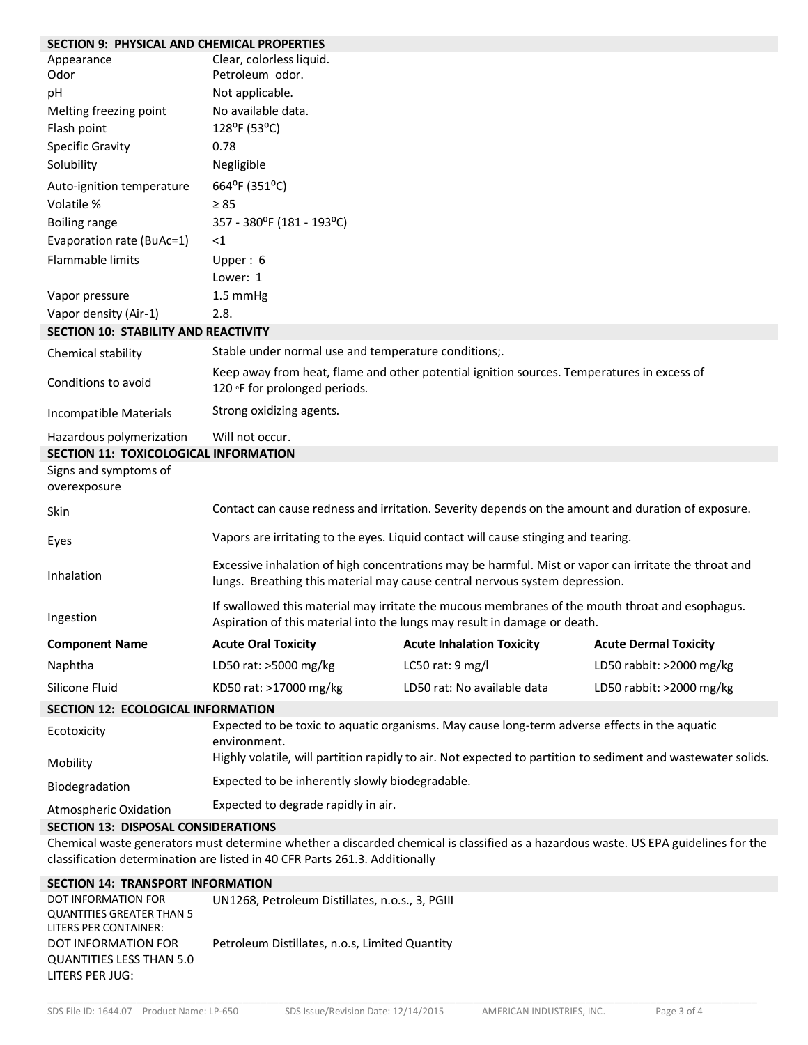| <b>SECTION 9: PHYSICAL AND CHEMICAL PROPERTIES</b>                                                                                                                                                                 |                                                                                                                                                                                      |                                                                                                    |                              |
|--------------------------------------------------------------------------------------------------------------------------------------------------------------------------------------------------------------------|--------------------------------------------------------------------------------------------------------------------------------------------------------------------------------------|----------------------------------------------------------------------------------------------------|------------------------------|
| Appearance<br>Odor                                                                                                                                                                                                 | Clear, colorless liquid.<br>Petroleum odor.                                                                                                                                          |                                                                                                    |                              |
|                                                                                                                                                                                                                    |                                                                                                                                                                                      |                                                                                                    |                              |
| pH                                                                                                                                                                                                                 | Not applicable.                                                                                                                                                                      |                                                                                                    |                              |
| Melting freezing point                                                                                                                                                                                             | No available data.                                                                                                                                                                   |                                                                                                    |                              |
| Flash point                                                                                                                                                                                                        | 128°F (53°C)                                                                                                                                                                         |                                                                                                    |                              |
| <b>Specific Gravity</b>                                                                                                                                                                                            | 0.78                                                                                                                                                                                 |                                                                                                    |                              |
| Solubility                                                                                                                                                                                                         | Negligible                                                                                                                                                                           |                                                                                                    |                              |
| Auto-ignition temperature                                                                                                                                                                                          | 664°F (351°C)                                                                                                                                                                        |                                                                                                    |                              |
| Volatile %                                                                                                                                                                                                         | $\geq 85$                                                                                                                                                                            |                                                                                                    |                              |
| Boiling range                                                                                                                                                                                                      | 357 - 380°F (181 - 193°C)                                                                                                                                                            |                                                                                                    |                              |
| Evaporation rate (BuAc=1)                                                                                                                                                                                          | $<$ 1                                                                                                                                                                                |                                                                                                    |                              |
| Flammable limits                                                                                                                                                                                                   | Upper: $6$                                                                                                                                                                           |                                                                                                    |                              |
|                                                                                                                                                                                                                    | Lower: 1                                                                                                                                                                             |                                                                                                    |                              |
| Vapor pressure                                                                                                                                                                                                     | 1.5 mmHg                                                                                                                                                                             |                                                                                                    |                              |
| Vapor density (Air-1)                                                                                                                                                                                              | 2.8.                                                                                                                                                                                 |                                                                                                    |                              |
| SECTION 10: STABILITY AND REACTIVITY                                                                                                                                                                               |                                                                                                                                                                                      |                                                                                                    |                              |
| Chemical stability                                                                                                                                                                                                 | Stable under normal use and temperature conditions;.                                                                                                                                 |                                                                                                    |                              |
| Conditions to avoid                                                                                                                                                                                                | Keep away from heat, flame and other potential ignition sources. Temperatures in excess of<br>120 °F for prolonged periods.                                                          |                                                                                                    |                              |
| Incompatible Materials                                                                                                                                                                                             | Strong oxidizing agents.                                                                                                                                                             |                                                                                                    |                              |
| Hazardous polymerization                                                                                                                                                                                           | Will not occur.                                                                                                                                                                      |                                                                                                    |                              |
| SECTION 11: TOXICOLOGICAL INFORMATION                                                                                                                                                                              |                                                                                                                                                                                      |                                                                                                    |                              |
| Signs and symptoms of<br>overexposure                                                                                                                                                                              |                                                                                                                                                                                      |                                                                                                    |                              |
| Skin                                                                                                                                                                                                               |                                                                                                                                                                                      | Contact can cause redness and irritation. Severity depends on the amount and duration of exposure. |                              |
| Eyes                                                                                                                                                                                                               |                                                                                                                                                                                      | Vapors are irritating to the eyes. Liquid contact will cause stinging and tearing.                 |                              |
| Inhalation                                                                                                                                                                                                         | Excessive inhalation of high concentrations may be harmful. Mist or vapor can irritate the throat and<br>lungs. Breathing this material may cause central nervous system depression. |                                                                                                    |                              |
| Ingestion                                                                                                                                                                                                          | If swallowed this material may irritate the mucous membranes of the mouth throat and esophagus.<br>Aspiration of this material into the lungs may result in damage or death.         |                                                                                                    |                              |
| <b>Component Name</b>                                                                                                                                                                                              | <b>Acute Oral Toxicity</b>                                                                                                                                                           | <b>Acute Inhalation Toxicity</b>                                                                   | <b>Acute Dermal Toxicity</b> |
| Naphtha                                                                                                                                                                                                            | LD50 rat: >5000 mg/kg                                                                                                                                                                | LC50 rat: 9 mg/l                                                                                   | LD50 rabbit: >2000 mg/kg     |
| Silicone Fluid                                                                                                                                                                                                     | KD50 rat: >17000 mg/kg                                                                                                                                                               | LD50 rat: No available data                                                                        | LD50 rabbit: >2000 mg/kg     |
| <b>SECTION 12: ECOLOGICAL INFORMATION</b>                                                                                                                                                                          |                                                                                                                                                                                      |                                                                                                    |                              |
| Ecotoxicity                                                                                                                                                                                                        | Expected to be toxic to aquatic organisms. May cause long-term adverse effects in the aquatic<br>environment.                                                                        |                                                                                                    |                              |
| Mobility                                                                                                                                                                                                           | Highly volatile, will partition rapidly to air. Not expected to partition to sediment and wastewater solids.                                                                         |                                                                                                    |                              |
| Biodegradation                                                                                                                                                                                                     | Expected to be inherently slowly biodegradable.                                                                                                                                      |                                                                                                    |                              |
| Atmospheric Oxidation                                                                                                                                                                                              | Expected to degrade rapidly in air.                                                                                                                                                  |                                                                                                    |                              |
| <b>SECTION 13: DISPOSAL CONSIDERATIONS</b>                                                                                                                                                                         |                                                                                                                                                                                      |                                                                                                    |                              |
| Chemical waste generators must determine whether a discarded chemical is classified as a hazardous waste. US EPA guidelines for the<br>classification determination are listed in 40 CFR Parts 261.3. Additionally |                                                                                                                                                                                      |                                                                                                    |                              |
| <b>SECTION 14: TRANSPORT INFORMATION</b>                                                                                                                                                                           |                                                                                                                                                                                      |                                                                                                    |                              |

| DOT INFORMATION FOR              | UN1268, Petroleum Distillates, n.o.s., 3, PGIII |
|----------------------------------|-------------------------------------------------|
| <b>QUANTITIES GREATER THAN 5</b> |                                                 |
| LITERS PER CONTAINER:            |                                                 |
| DOT INFORMATION FOR              | Petroleum Distillates, n.o.s, Limited Quantity  |
| <b>QUANTITIES LESS THAN 5.0</b>  |                                                 |
| LITERS PER JUG:                  |                                                 |

\_\_\_\_\_\_\_\_\_\_\_\_\_\_\_\_\_\_\_\_\_\_\_\_\_\_\_\_\_\_\_\_\_\_\_\_\_\_\_\_\_\_\_\_\_\_\_\_\_\_\_\_\_\_\_\_\_\_\_\_\_\_\_\_\_\_\_\_\_\_\_\_\_\_\_\_\_\_\_\_\_\_\_\_\_\_\_\_\_\_\_\_\_\_\_\_\_\_\_\_\_\_\_\_\_\_\_\_\_\_\_\_\_\_\_\_\_\_\_\_